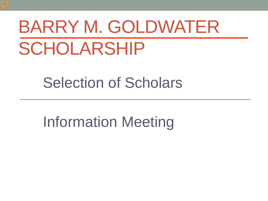# BARRY M. GOLDWATER SCHOLARSHIP

Selection of Scholars

Information Meeting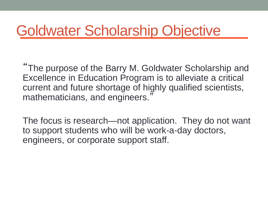#### Goldwater Scholarship Objective

"The purpose of the Barry M. Goldwater Scholarship and Excellence in Education Program is to alleviate a critical current and future shortage of highly qualified scientists, mathematicians, and engineers.'

The focus is research—not application. They do not want to support students who will be work-a-day doctors, engineers, or corporate support staff.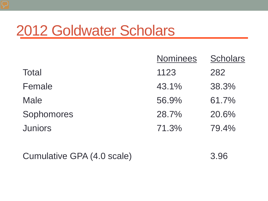#### 2012 Goldwater Scholars

|                | <b>Nominees</b> | <b>Scholars</b> |
|----------------|-----------------|-----------------|
| <b>Total</b>   | 1123            | 282             |
| Female         | 43.1%           | 38.3%           |
| <b>Male</b>    | 56.9%           | 61.7%           |
| Sophomores     | 28.7%           | 20.6%           |
| <b>Juniors</b> | 71.3%           | 79.4%           |

Cumulative GPA (4.0 scale) 3.96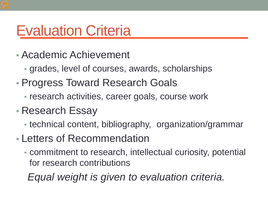#### Evaluation Criteria

- Academic Achievement
	- grades, level of courses, awards, scholarships
- Progress Toward Research Goals
	- research activities, career goals, course work
- Research Essay
	- technical content, bibliography, organization/grammar
- Letters of Recommendation
	- commitment to research, intellectual curiosity, potential for research contributions

 *Equal weight is given to evaluation criteria.*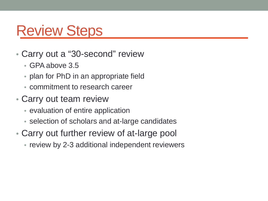#### Review Steps

- Carry out a "30-second" review
	- GPA above 3.5
	- plan for PhD in an appropriate field
	- commitment to research career
- Carry out team review
	- evaluation of entire application
	- selection of scholars and at-large candidates
- Carry out further review of at-large pool
	- review by 2-3 additional independent reviewers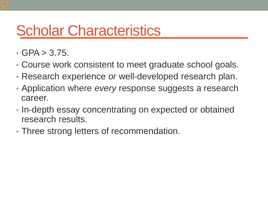#### Scholar Characteristics

- GPA  $> 3.75$ .
- Course work consistent to meet graduate school goals.
- Research experience *or* well-developed research plan.
- Application where *every* response suggests a research career.
- In-depth essay concentrating on expected or obtained research results.
- Three strong letters of recommendation.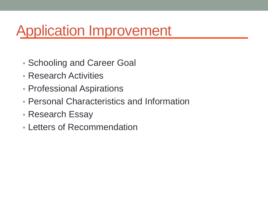# Application Improvement

- Schooling and Career Goal
- Research Activities
- Professional Aspirations
- Personal Characteristics and Information
- Research Essay
- Letters of Recommendation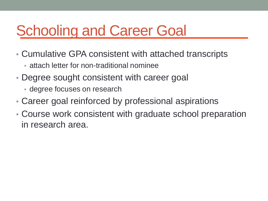# Schooling and Career Goal

- Cumulative GPA consistent with attached transcripts
	- attach letter for non-traditional nominee
- Degree sought consistent with career goal
	- degree focuses on research
- Career goal reinforced by professional aspirations
- Course work consistent with graduate school preparation in research area.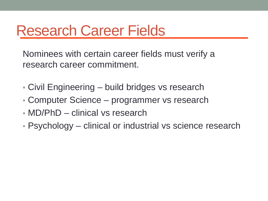#### Research Career Fields

Nominees with certain career fields must verify a research career commitment.

- Civil Engineering build bridges vs research
- Computer Science programmer vs research
- MD/PhD clinical vs research
- Psychology clinical or industrial vs science research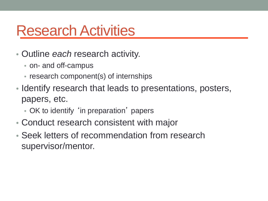#### Research Activities

- Outline *each* research activity.
	- on- and off-campus
	- research component(s) of internships
- Identify research that leads to presentations, posters, papers, etc.
	- OK to identify 'in preparation' papers
- Conduct research consistent with major
- Seek letters of recommendation from research supervisor/mentor.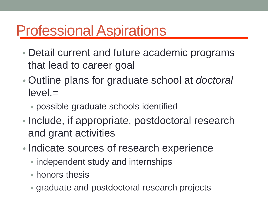# Professional Aspirations

- Detail current and future academic programs that lead to career goal
- Outline plans for graduate school at *doctoral* level.=
	- possible graduate schools identified
- Include, if appropriate, postdoctoral research and grant activities
- Indicate sources of research experience
	- independent study and internships
	- honors thesis
	- graduate and postdoctoral research projects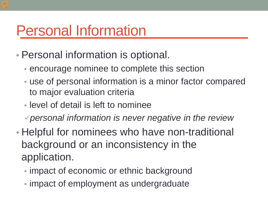### Personal Information

- Personal information is optional.
	- encourage nominee to complete this section
	- use of personal information is a minor factor compared to major evaluation criteria
	- level of detail is left to nominee
	- *personal information is never negative in the review*
- Helpful for nominees who have non-traditional background or an inconsistency in the application.
	- impact of economic or ethnic background
	- impact of employment as undergraduate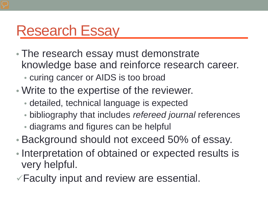#### Research Essay

- The research essay must demonstrate knowledge base and reinforce research career.
	- curing cancer or AIDS is too broad
- Write to the expertise of the reviewer.
	- detailed, technical language is expected
	- bibliography that includes *refereed journal* references • diagrams and figures can be helpful
- Background should not exceed 50% of essay.
- Interpretation of obtained or expected results is very helpful.
- Faculty input and review are essential.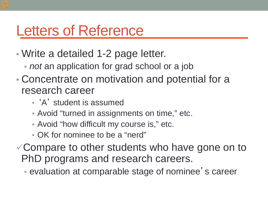#### Letters of Reference

- Write a detailed 1-2 page letter.
	- *not* an application for grad school or a job
- Concentrate on motivation and potential for a research career
	- 'A' student is assumed
	- Avoid "turned in assignments on time," etc.
	- Avoid "how difficult my course is," etc.
	- OK for nominee to be a "nerd"
- Compare to other students who have gone on to PhD programs and research careers.
	- evaluation at comparable stage of nominee' s career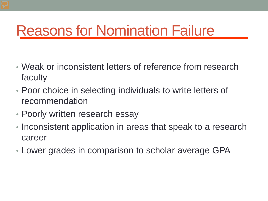# Reasons for Nomination Failure

- Weak or inconsistent letters of reference from research faculty
- Poor choice in selecting individuals to write letters of recommendation
- Poorly written research essay
- Inconsistent application in areas that speak to a research career
- Lower grades in comparison to scholar average GPA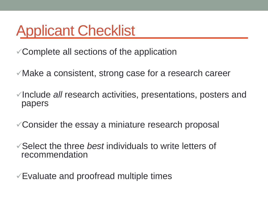#### Applicant Checklist

Complete all sections of the application

Make a consistent, strong case for a research career

√Include *all* research activities, presentations, posters and papers

Consider the essay a miniature research proposal

Select the three *best* individuals to write letters of recommendation

 $\sqrt{\frac{1}{2}}$  Evaluate and proofread multiple times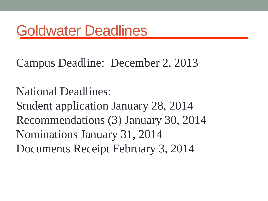## Goldwater Deadlines

#### Campus Deadline: December 2, 2013

National Deadlines:

Student application January 28, 2014 Recommendations (3) January 30, 2014 Nominations January 31, 2014 Documents Receipt February 3, 2014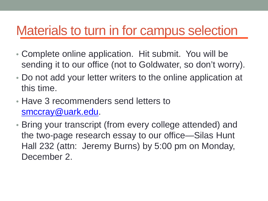#### Materials to turn in for campus selection

- Complete online application. Hit submit. You will be sending it to our office (not to Goldwater, so don't worry).
- Do not add your letter writers to the online application at this time.
- Have 3 recommenders send letters to [smccray@uark.edu.](mailto:smccray@uark.edu)
- Bring your transcript (from every college attended) and the two-page research essay to our office—Silas Hunt Hall 232 (attn: Jeremy Burns) by 5:00 pm on Monday, December 2.